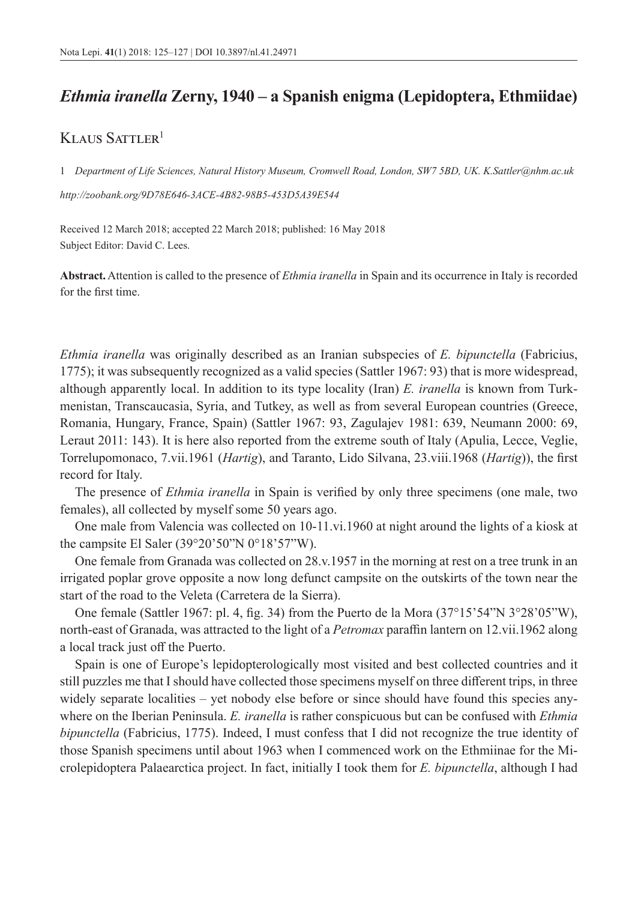## *Ethmia iranella* **Zerny, 1940 – a Spanish enigma (Lepidoptera, Ethmiidae)**

## KLAUS SATTLER<sup>1</sup>

1 *Department of Life Sciences, Natural History Museum, Cromwell Road, London, SW7 5BD, UK. [K.Sattler@nhm.ac.uk](mailto:K.Sattler@nhm.ac.uk)*

*<http://zoobank.org/9D78E646-3ACE-4B82-98B5-453D5A39E544>*

Received 12 March 2018; accepted 22 March 2018; published: 16 May 2018 Subject Editor: David C. Lees.

**Abstract.** Attention is called to the presence of *Ethmia iranella* in Spain and its occurrence in Italy is recorded for the first time.

*Ethmia iranella* was originally described as an Iranian subspecies of *E. bipunctella* (Fabricius, 1775); it was subsequently recognized as a valid species (Sattler 1967: 93) that is more widespread, although apparently local. In addition to its type locality (Iran) *E. iranella* is known from Turkmenistan, Transcaucasia, Syria, and Tutkey, as well as from several European countries (Greece, Romania, Hungary, France, Spain) (Sattler 1967: 93, Zagulajev 1981: 639, Neumann 2000: 69, Leraut 2011: 143). It is here also reported from the extreme south of Italy (Apulia, Lecce, Veglie, Torrelupomonaco, 7.vii.1961 (*Hartig*), and Taranto, Lido Silvana, 23.viii.1968 (*Hartig*)), the first record for Italy.

The presence of *Ethmia iranella* in Spain is verified by only three specimens (one male, two females), all collected by myself some 50 years ago.

One male from Valencia was collected on 10-11.vi.1960 at night around the lights of a kiosk at the campsite El Saler (39°20'50"N 0°18'57"W).

One female from Granada was collected on 28.v.1957 in the morning at rest on a tree trunk in an irrigated poplar grove opposite a now long defunct campsite on the outskirts of the town near the start of the road to the Veleta (Carretera de la Sierra).

One female (Sattler 1967: pl. 4, fig. 34) from the Puerto de la Mora (37°15'54"N 3°28'05"W), north-east of Granada, was attracted to the light of a *Petromax* paraffin lantern on 12.vii.1962 along a local track just off the Puerto.

Spain is one of Europe's lepidopterologically most visited and best collected countries and it still puzzles me that I should have collected those specimens myself on three different trips, in three widely separate localities – yet nobody else before or since should have found this species anywhere on the Iberian Peninsula. *E. iranella* is rather conspicuous but can be confused with *Ethmia bipunctella* (Fabricius, 1775). Indeed, I must confess that I did not recognize the true identity of those Spanish specimens until about 1963 when I commenced work on the Ethmiinae for the Microlepidoptera Palaearctica project. In fact, initially I took them for *E. bipunctella*, although I had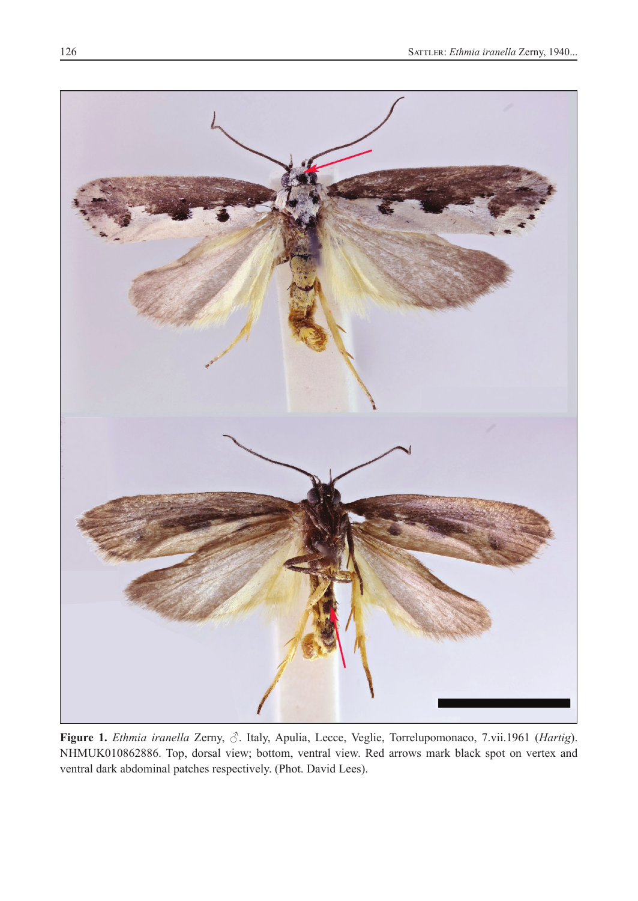

**Figure 1.** *Ethmia iranella* Zerny, ♂. Italy, Apulia, Lecce, Veglie, Torrelupomonaco, 7.vii.1961 (*Hartig*). NHMUK010862886. Top, dorsal view; bottom, ventral view. Red arrows mark black spot on vertex and ventral dark abdominal patches respectively. (Phot. David Lees).